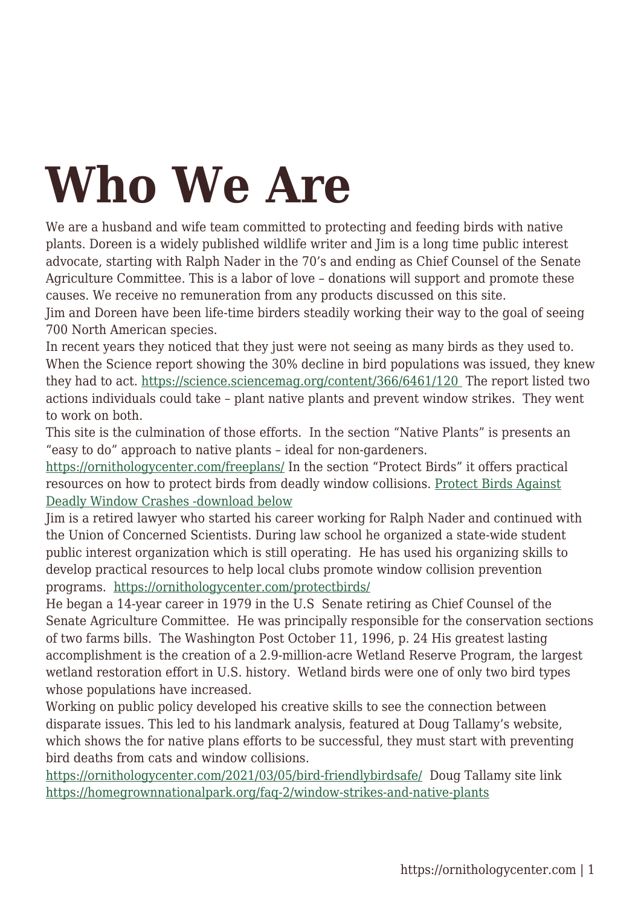## **Who We Are**

We are a husband and wife team committed to protecting and feeding birds with native plants. Doreen is a widely published wildlife writer and Jim is a long time public interest advocate, starting with Ralph Nader in the 70's and ending as Chief Counsel of the Senate Agriculture Committee. This is a labor of love – donations will support and promote these causes. We receive no remuneration from any products discussed on this site.

Jim and Doreen have been life-time birders steadily working their way to the goal of seeing 700 North American species.

In recent years they noticed that they just were not seeing as many birds as they used to. When the Science report showing the 30% decline in bird populations was issued, they knew they had to act. [https://science.sciencemag.org/content/366/6461/120](https://science.sciencemag.org/content/366/6461/120 ) The report listed two actions individuals could take – plant native plants and prevent window strikes. They went to work on both.

This site is the culmination of those efforts. In the section "Native Plants" is presents an "easy to do" approach to native plants – ideal for non-gardeners.

<https://ornithologycenter.com/freeplans/> In the section "Protect Birds" it offers practical resources on how to protect birds from deadly window collisions. [Protect Birds Against](https://ornithologycenter.com/protectbirds/) [Deadly Window Crashes -download below](https://ornithologycenter.com/protectbirds/)

Jim is a retired lawyer who started his career working for Ralph Nader and continued with the Union of Concerned Scientists. During law school he organized a state-wide student public interest organization which is still operating. He has used his organizing skills to develop practical resources to help local clubs promote window collision prevention programs. <https://ornithologycenter.com/protectbirds/>

He began a 14-year career in 1979 in the U.S Senate retiring as Chief Counsel of the Senate Agriculture Committee. He was principally responsible for the conservation sections of two farms bills. The Washington Post October 11, 1996, p. 24 His greatest lasting accomplishment is the creation of a 2.9-million-acre Wetland Reserve Program, the largest wetland restoration effort in U.S. history. Wetland birds were one of only two bird types whose populations have increased.

Working on public policy developed his creative skills to see the connection between disparate issues. This led to his landmark analysis, featured at Doug Tallamy's website, which shows the for native plans efforts to be successful, they must start with preventing bird deaths from cats and window collisions.

<https://ornithologycenter.com/2021/03/05/bird-friendlybirdsafe/> Doug Tallamy site link <https://homegrownnationalpark.org/faq-2/window-strikes-and-native-plants>